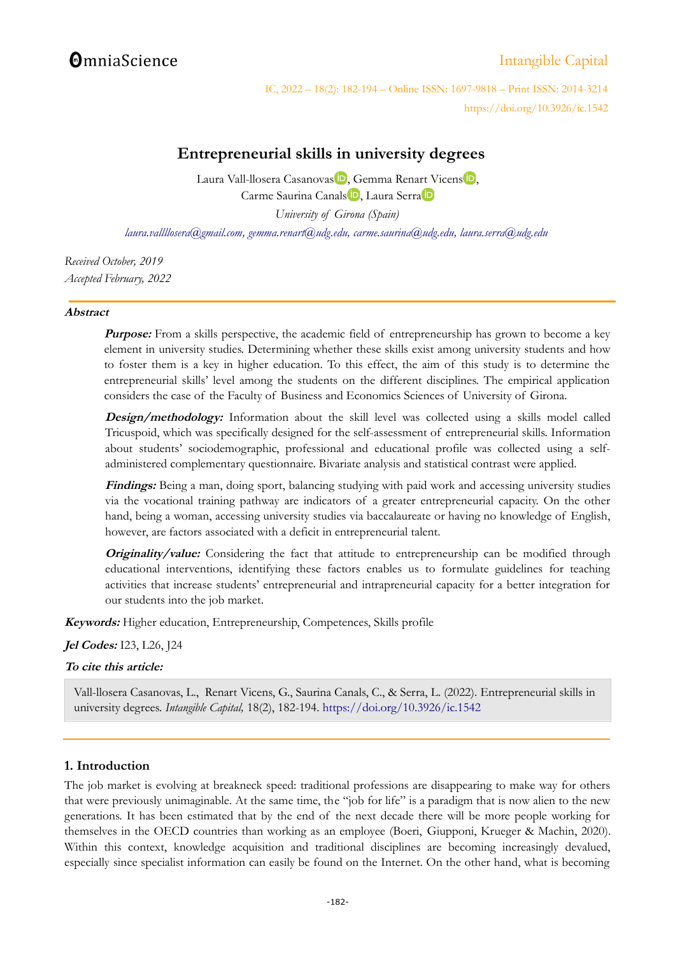# **OmniaScience**

# [Intangible Capital](http://www.intangiblecapital.org/)

IC, 2022 – 18(2): 182-194 – Online ISSN: 1697-9818 – Print ISSN: 2014-3214 https://doi.org/10.3926/ic.1542

## **Entrepreneurial skills in university degrees**

Laura Vall-llosera Casanovas<sup>1</sup>D[,](https://orcid.org/0000-0001-6037-9225) Gemma Renart Vicens<sup>1D</sup>. Carme Saurina Canal[s](https://orcid.org/0000-0003-4549-8845)<sup>D</sup>, L[a](http://orcid.org/0000-0002-8835-6890)ura Serra<sup>D</sup>

*University of Girona (Spain) [laura.vallllosera@gmail.com,](mailto:laura.vallllosera@gmail.com) [gemma.renart@udg.edu,](mailto:gemma.renart@udg.edu) [carme.saurina@udg.edu,](mailto:carme.saurina@udg.edu) [laura.serra@udg.edu](mailto:laura.serra@udg.edu)*

*Received October, 2019 Accepted February, 2022*

#### **Abstract**

**Purpose:** From a skills perspective, the academic field of entrepreneurship has grown to become a key element in university studies. Determining whether these skills exist among university students and how to foster them is a key in higher education. To this effect, the aim of this study is to determine the entrepreneurial skills' level among the students on the different disciplines. The empirical application considers the case of the Faculty of Business and Economics Sciences of University of Girona.

**Design/methodology:** Information about the skill level was collected using a skills model called Tricuspoid, which was specifically designed for the self-assessment of entrepreneurial skills. Information about students' sociodemographic, professional and educational profile was collected using a selfadministered complementary questionnaire. Bivariate analysis and statistical contrast were applied.

**Findings:** Being a man, doing sport, balancing studying with paid work and accessing university studies via the vocational training pathway are indicators of a greater entrepreneurial capacity. On the other hand, being a woman, accessing university studies via baccalaureate or having no knowledge of English, however, are factors associated with a deficit in entrepreneurial talent.

**Originality/value:** Considering the fact that attitude to entrepreneurship can be modified through educational interventions, identifying these factors enables us to formulate guidelines for teaching activities that increase students' entrepreneurial and intrapreneurial capacity for a better integration for our students into the job market.

**Keywords:** Higher education, Entrepreneurship, Competences, Skills profile

## **Jel Codes:** I23, L26, J24

## **To cite this article:**

Vall-llosera Casanovas, L., Renart Vicens, G., Saurina Canals, C., & Serra, L. (2022). Entrepreneurial skills in university degrees. *Intangible Capital,* 18(2), 182-194.<https://doi.org/10.3926/ic.1542>

## **1. Introduction**

The job market is evolving at breakneck speed: traditional professions are disappearing to make way for others that were previously unimaginable. At the same time, the "job for life" is a paradigm that is now alien to the new generations. It has been estimated that by the end of the next decade there will be more people working for themselves in the OECD countries than working as an employee (Boeri, Giupponi, Krueger & Machin, 2020). Within this context, knowledge acquisition and traditional disciplines are becoming increasingly devalued, especially since specialist information can easily be found on the Internet. On the other hand, what is becoming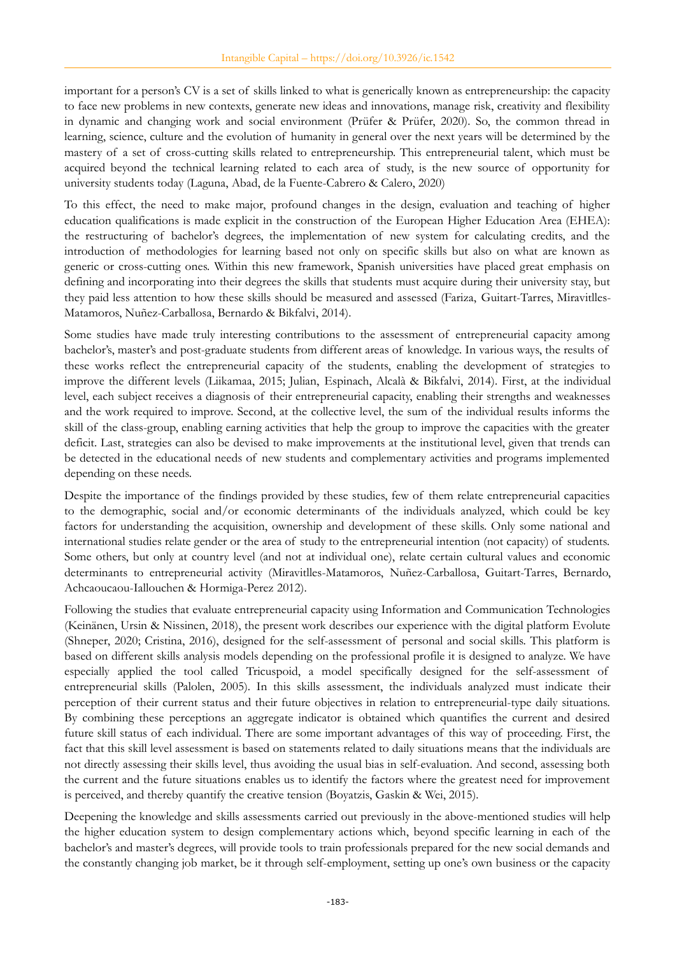important for a person's CV is a set of skills linked to what is generically known as entrepreneurship: the capacity to face new problems in new contexts, generate new ideas and innovations, manage risk, creativity and flexibility in dynamic and changing work and social environment (Prüfer & Prüfer, 2020). So, the common thread in learning, science, culture and the evolution of humanity in general over the next years will be determined by the mastery of a set of cross-cutting skills related to entrepreneurship. This entrepreneurial talent, which must be acquired beyond the technical learning related to each area of study, is the new source of opportunity for university students today (Laguna, Abad, de la Fuente-Cabrero & Calero, 2020)

To this effect, the need to make major, profound changes in the design, evaluation and teaching of higher education qualifications is made explicit in the construction of the European Higher Education Area (EHEA): the restructuring of bachelor's degrees, the implementation of new system for calculating credits, and the introduction of methodologies for learning based not only on specific skills but also on what are known as generic or cross-cutting ones. Within this new framework, Spanish universities have placed great emphasis on defining and incorporating into their degrees the skills that students must acquire during their university stay, but they paid less attention to how these skills should be measured and assessed (Fariza, Guitart-Tarres, Miravitlles-Matamoros, Nuñez-Carballosa, Bernardo & Bikfalvi, 2014).

Some studies have made truly interesting contributions to the assessment of entrepreneurial capacity among bachelor's, master's and post-graduate students from different areas of knowledge. In various ways, the results of these works reflect the entrepreneurial capacity of the students, enabling the development of strategies to improve the different levels (Liikamaa, 2015; Julian, Espinach, Alcalà & Bikfalvi, 2014). First, at the individual level, each subject receives a diagnosis of their entrepreneurial capacity, enabling their strengths and weaknesses and the work required to improve. Second, at the collective level, the sum of the individual results informs the skill of the class-group, enabling earning activities that help the group to improve the capacities with the greater deficit. Last, strategies can also be devised to make improvements at the institutional level, given that trends can be detected in the educational needs of new students and complementary activities and programs implemented depending on these needs.

Despite the importance of the findings provided by these studies, few of them relate entrepreneurial capacities to the demographic, social and/or economic determinants of the individuals analyzed, which could be key factors for understanding the acquisition, ownership and development of these skills. Only some national and international studies relate gender or the area of study to the entrepreneurial intention (not capacity) of students. Some others, but only at country level (and not at individual one), relate certain cultural values and economic determinants to entrepreneurial activity (Miravitlles-Matamoros, Nuñez-Carballosa, Guitart-Tarres, Bernardo, Achcaoucaou-Iallouchen & Hormiga-Perez 2012).

Following the studies that evaluate entrepreneurial capacity using Information and Communication Technologies (Keinänen, Ursin & Nissinen, 2018), the present work describes our experience with the digital platform Evolute (Shneper, 2020; Cristina, 2016), designed for the self-assessment of personal and social skills. This platform is based on different skills analysis models depending on the professional profile it is designed to analyze. We have especially applied the tool called Tricuspoid, a model specifically designed for the self-assessment of entrepreneurial skills (Palolen, 2005). In this skills assessment, the individuals analyzed must indicate their perception of their current status and their future objectives in relation to entrepreneurial-type daily situations. By combining these perceptions an aggregate indicator is obtained which quantifies the current and desired future skill status of each individual. There are some important advantages of this way of proceeding. First, the fact that this skill level assessment is based on statements related to daily situations means that the individuals are not directly assessing their skills level, thus avoiding the usual bias in self-evaluation. And second, assessing both the current and the future situations enables us to identify the factors where the greatest need for improvement is perceived, and thereby quantify the creative tension (Boyatzis, Gaskin & Wei, 2015).

Deepening the knowledge and skills assessments carried out previously in the above-mentioned studies will help the higher education system to design complementary actions which, beyond specific learning in each of the bachelor's and master's degrees, will provide tools to train professionals prepared for the new social demands and the constantly changing job market, be it through self-employment, setting up one's own business or the capacity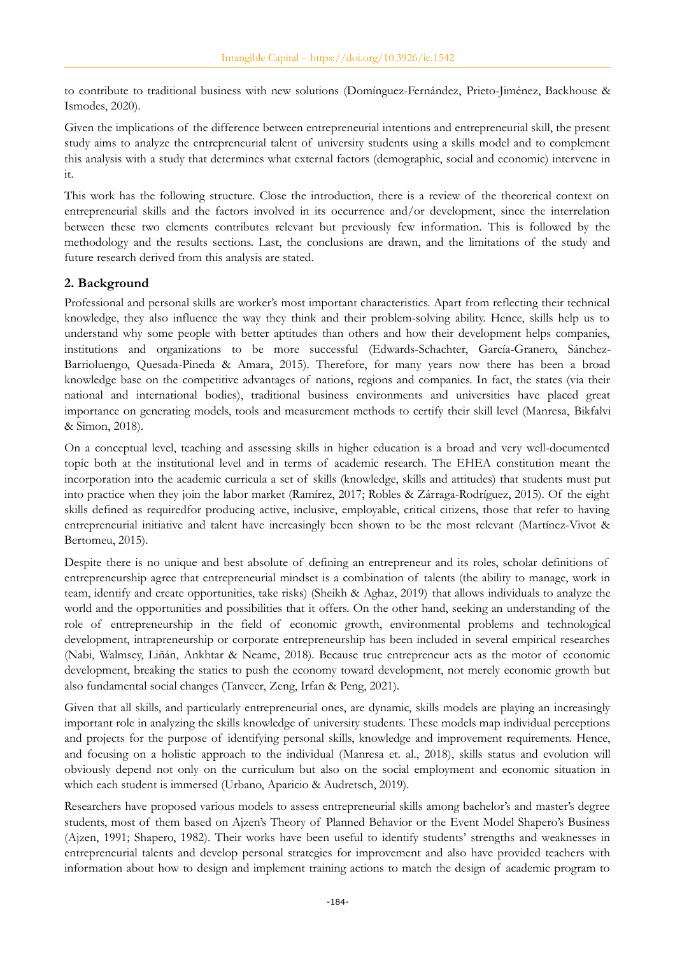to contribute to traditional business with new solutions (Domínguez-Fernández, Prieto-Jiménez, Backhouse & Ismodes, 2020).

Given the implications of the difference between entrepreneurial intentions and entrepreneurial skill, the present study aims to analyze the entrepreneurial talent of university students using a skills model and to complement this analysis with a study that determines what external factors (demographic, social and economic) intervene in it.

This work has the following structure. Close the introduction, there is a review of the theoretical context on entrepreneurial skills and the factors involved in its occurrence and/or development, since the interrelation between these two elements contributes relevant but previously few information. This is followed by the methodology and the results sections. Last, the conclusions are drawn, and the limitations of the study and future research derived from this analysis are stated.

## **2. Background**

Professional and personal skills are worker's most important characteristics. Apart from reflecting their technical knowledge, they also influence the way they think and their problem-solving ability. Hence, skills help us to understand why some people with better aptitudes than others and how their development helps companies, institutions and organizations to be more successful (Edwards-Schachter, García-Granero, Sánchez-Barrioluengo, Quesada-Pineda & Amara, 2015). Therefore, for many years now there has been a broad knowledge base on the competitive advantages of nations, regions and companies. In fact, the states (via their national and international bodies), traditional business environments and universities have placed great importance on generating models, tools and measurement methods to certify their skill level (Manresa, Bikfalvi & Simon, 2018).

On a conceptual level, teaching and assessing skills in higher education is a broad and very well-documented topic both at the institutional level and in terms of academic research. The EHEA constitution meant the incorporation into the academic curricula a set of skills (knowledge, skills and attitudes) that students must put into practice when they join the labor market (Ramírez, 2017; Robles & Zárraga-Rodríguez, 2015). Of the eight skills defined as requiredfor producing active, inclusive, employable, critical citizens, those that refer to having entrepreneurial initiative and talent have increasingly been shown to be the most relevant (Martínez-Vivot & Bertomeu, 2015).

Despite there is no unique and best absolute of defining an entrepreneur and its roles, scholar definitions of entrepreneurship agree that entrepreneurial mindset is a combination of talents (the ability to manage, work in team, identify and create opportunities, take risks) (Sheikh & Aghaz, 2019) that allows individuals to analyze the world and the opportunities and possibilities that it offers. On the other hand, seeking an understanding of the role of entrepreneurship in the field of economic growth, environmental problems and technological development, intrapreneurship or corporate entrepreneurship has been included in several empirical researches (Nabi, Walmsey, Liñán, Ankhtar & Neame, 2018). Because true entrepreneur acts as the motor of economic development, breaking the statics to push the economy toward development, not merely economic growth but also fundamental social changes (Tanveer, Zeng, Irfan & Peng, 2021).

Given that all skills, and particularly entrepreneurial ones, are dynamic, skills models are playing an increasingly important role in analyzing the skills knowledge of university students. These models map individual perceptions and projects for the purpose of identifying personal skills, knowledge and improvement requirements. Hence, and focusing on a holistic approach to the individual (Manresa et. al., 2018), skills status and evolution will obviously depend not only on the curriculum but also on the social employment and economic situation in which each student is immersed (Urbano, Aparicio & Audretsch, 2019).

Researchers have proposed various models to assess entrepreneurial skills among bachelor's and master's degree students, most of them based on Ajzen's Theory of Planned Behavior or the Event Model Shapero's Business (Ajzen, 1991; Shapero, 1982). Their works have been useful to identify students' strengths and weaknesses in entrepreneurial talents and develop personal strategies for improvement and also have provided teachers with information about how to design and implement training actions to match the design of academic program to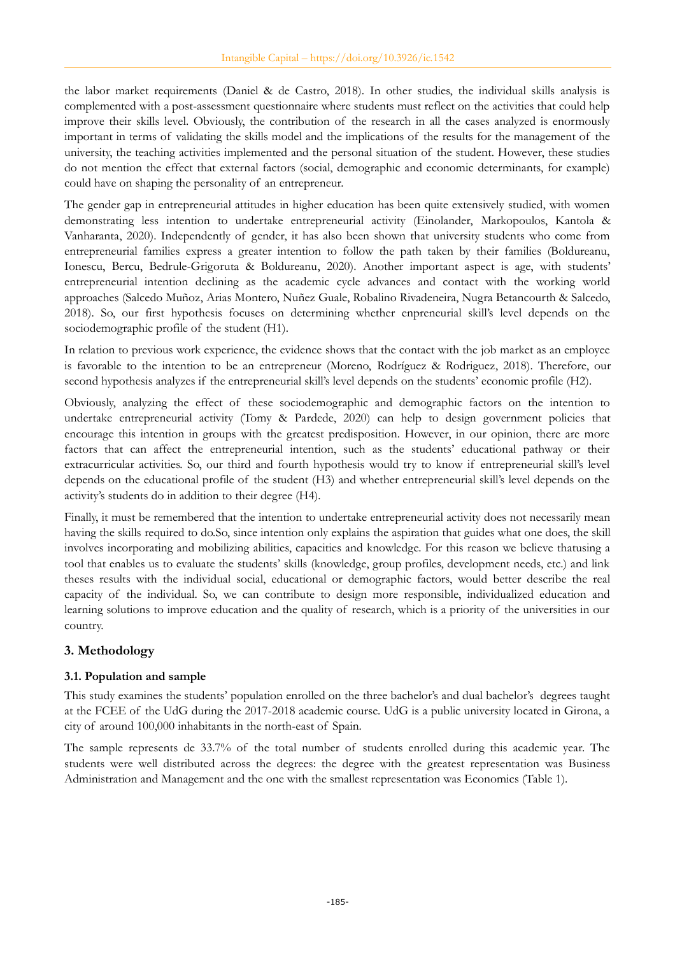the labor market requirements (Daniel & de Castro, 2018). In other studies, the individual skills analysis is complemented with a post-assessment questionnaire where students must reflect on the activities that could help improve their skills level. Obviously, the contribution of the research in all the cases analyzed is enormously important in terms of validating the skills model and the implications of the results for the management of the university, the teaching activities implemented and the personal situation of the student. However, these studies do not mention the effect that external factors (social, demographic and economic determinants, for example) could have on shaping the personality of an entrepreneur.

The gender gap in entrepreneurial attitudes in higher education has been quite extensively studied, with women demonstrating less intention to undertake entrepreneurial activity (Einolander, Markopoulos, Kantola & Vanharanta, 2020). Independently of gender, it has also been shown that university students who come from entrepreneurial families express a greater intention to follow the path taken by their families (Boldureanu, Ionescu, Bercu, Bedrule-Grigoruta & Boldureanu, 2020). Another important aspect is age, with students' entrepreneurial intention declining as the academic cycle advances and contact with the working world approaches (Salcedo Muñoz, Arias Montero, Nuñez Guale, Robalino Rivadeneira, Nugra Betancourth & Salcedo, 2018). So, our first hypothesis focuses on determining whether enpreneurial skill's level depends on the sociodemographic profile of the student (H1).

In relation to previous work experience, the evidence shows that the contact with the job market as an employee is favorable to the intention to be an entrepreneur (Moreno, Rodríguez & Rodriguez, 2018). Therefore, our second hypothesis analyzes if the entrepreneurial skill's level depends on the students' economic profile (H2).

Obviously, analyzing the effect of these sociodemographic and demographic factors on the intention to undertake entrepreneurial activity (Tomy & Pardede, 2020) can help to design government policies that encourage this intention in groups with the greatest predisposition. However, in our opinion, there are more factors that can affect the entrepreneurial intention, such as the students' educational pathway or their extracurricular activities. So, our third and fourth hypothesis would try to know if entrepreneurial skill's level depends on the educational profile of the student (H3) and whether entrepreneurial skill's level depends on the activity's students do in addition to their degree (H4).

Finally, it must be remembered that the intention to undertake entrepreneurial activity does not necessarily mean having the skills required to do.So, since intention only explains the aspiration that guides what one does, the skill involves incorporating and mobilizing abilities, capacities and knowledge. For this reason we believe thatusing a tool that enables us to evaluate the students' skills (knowledge, group profiles, development needs, etc.) and link theses results with the individual social, educational or demographic factors, would better describe the real capacity of the individual. So, we can contribute to design more responsible, individualized education and learning solutions to improve education and the quality of research, which is a priority of the universities in our country.

## **3. Methodology**

## **3.1. Population and sample**

This study examines the students' population enrolled on the three bachelor's and dual bachelor's degrees taught at the FCEE of the UdG during the 2017-2018 academic course. UdG is a public university located in Girona, a city of around 100,000 inhabitants in the north-east of Spain.

The sample represents de 33.7% of the total number of students enrolled during this academic year. The students were well distributed across the degrees: the degree with the greatest representation was Business Administration and Management and the one with the smallest representation was Economics (Table 1).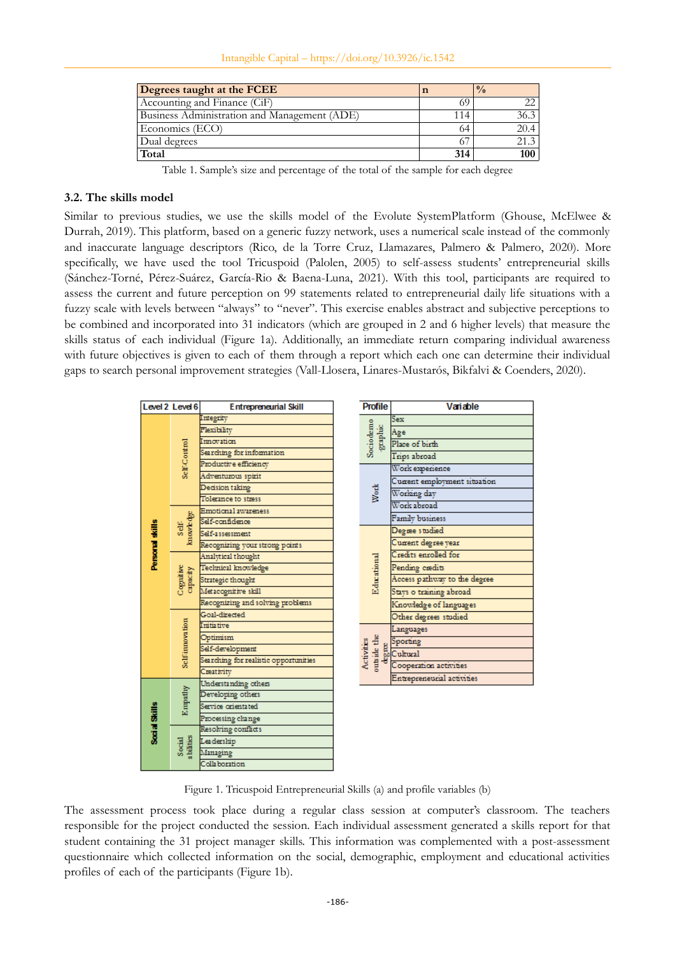| Degrees taught at the FCEE                   |     | $\frac{0}{0}$ |
|----------------------------------------------|-----|---------------|
| Accounting and Finance (CiF)                 |     |               |
| Business Administration and Management (ADE) | 114 | 36.3          |
| Economics (ECO)                              | 64  | 20.4          |
| Dual degrees                                 |     | 21.3          |
| Total                                        | 314 | 100           |

Table 1. Sample's size and percentage of the total of the sample for each degree

## **3.2. The skills model**

Similar to previous studies, we use the skills model of the Evolute SystemPlatform (Ghouse, McElwee & Durrah, 2019). This platform, based on a generic fuzzy network, uses a numerical scale instead of the commonly and inaccurate language descriptors (Rico, de la Torre Cruz, Llamazares, Palmero & Palmero, 2020). More specifically, we have used the tool Tricuspoid (Palolen, 2005) to self-assess students' entrepreneurial skills (Sánchez-Torné, Pérez-Suárez, García-Rio & Baena-Luna, 2021). With this tool, participants are required to assess the current and future perception on 99 statements related to entrepreneurial daily life situations with a fuzzy scale with levels between "always" to "never". This exercise enables abstract and subjective perceptions to be combined and incorporated into 31 indicators (which are grouped in 2 and 6 higher levels) that measure the skills status of each individual (Figure 1a). Additionally, an immediate return comparing individual awareness with future objectives is given to each of them through a report which each one can determine their individual gaps to search personal improvement strategies (Vall-Llosera, Linares-Mustarós, Bikfalvi & Coenders, 2020).

| Level 2 Level 6 |                       | Entrepreneurial Skill                 |  |  |  |
|-----------------|-----------------------|---------------------------------------|--|--|--|
|                 |                       | Integrity                             |  |  |  |
|                 |                       | Flexibility                           |  |  |  |
|                 |                       | Innovation                            |  |  |  |
|                 |                       | Searching for information             |  |  |  |
|                 | Self-Control          | Productive efficiency                 |  |  |  |
|                 |                       | Adventurous spirit                    |  |  |  |
|                 |                       | Decision taking                       |  |  |  |
|                 |                       | Tolerance to stress                   |  |  |  |
|                 |                       | Emotional awareness                   |  |  |  |
|                 |                       | Self-confidence                       |  |  |  |
|                 | Self-<br>knowleter    | Self-assessment                       |  |  |  |
|                 |                       | Recognizing your strong points        |  |  |  |
| Personal skills |                       | Analytical thought                    |  |  |  |
|                 | Cognitive<br>capacity | Technical knowledge                   |  |  |  |
|                 |                       | Strategic thought                     |  |  |  |
|                 |                       | Metacognitive skill                   |  |  |  |
|                 |                       | Recognizing and solving problems      |  |  |  |
|                 | Self-innovation       | Goal-directed                         |  |  |  |
|                 |                       | Initiative                            |  |  |  |
|                 |                       | Optimism                              |  |  |  |
|                 |                       | Self-development                      |  |  |  |
|                 |                       | Searching for realistic opportunities |  |  |  |
|                 |                       | Creativity                            |  |  |  |
|                 |                       | Understanding others                  |  |  |  |
| Social Skills   | Empathy               | Developing others                     |  |  |  |
|                 |                       | Service orientated                    |  |  |  |
|                 |                       | Processing change                     |  |  |  |
|                 |                       | Resolving conflicts                   |  |  |  |
|                 | Social<br>abilities   | Leadership                            |  |  |  |
|                 |                       | Managing                              |  |  |  |
|                 |                       | <b>Collaboration</b>                  |  |  |  |

| <b>Profile</b>                                                                                                                    | Variable                     |
|-----------------------------------------------------------------------------------------------------------------------------------|------------------------------|
|                                                                                                                                   | $_{\rm Sex}$                 |
| Sociodemo<br>$\operatorname*{graphic}% \left( X\right) \equiv\operatorname*{graphic}\left( X\right)$                              | Age                          |
|                                                                                                                                   | Place of birth               |
|                                                                                                                                   | Trips abroad                 |
|                                                                                                                                   | Work experience              |
|                                                                                                                                   | Current employment situation |
| ğ<br>Nori                                                                                                                         | Working day                  |
|                                                                                                                                   | Work abroad                  |
|                                                                                                                                   | Family business              |
|                                                                                                                                   | Degree studied               |
|                                                                                                                                   | Cument degree year           |
|                                                                                                                                   | Credits enrolled for         |
| Educational                                                                                                                       | Pending credits              |
|                                                                                                                                   | Access pathway to the degree |
|                                                                                                                                   | Stays o training abroad      |
|                                                                                                                                   | Knowledge of languages       |
|                                                                                                                                   | Other degrees studied        |
|                                                                                                                                   | Languages                    |
| tivities<br>distributed by Cultural<br><br>$\begin{array}{r} \mbox{Sporting} \\ \mbox{QCD} \\ \mbox{QCD} \\ \mbox{E} \end{array}$ |                              |
|                                                                                                                                   |                              |
|                                                                                                                                   | Cooperation activities       |
|                                                                                                                                   | Entrepreneurial activities   |

Figure 1. Tricuspoid Entrepreneurial Skills (a) and profile variables (b)

The assessment process took place during a regular class session at computer's classroom. The teachers responsible for the project conducted the session. Each individual assessment generated a skills report for that student containing the 31 project manager skills. This information was complemented with a post-assessment questionnaire which collected information on the social, demographic, employment and educational activities profiles of each of the participants (Figure 1b).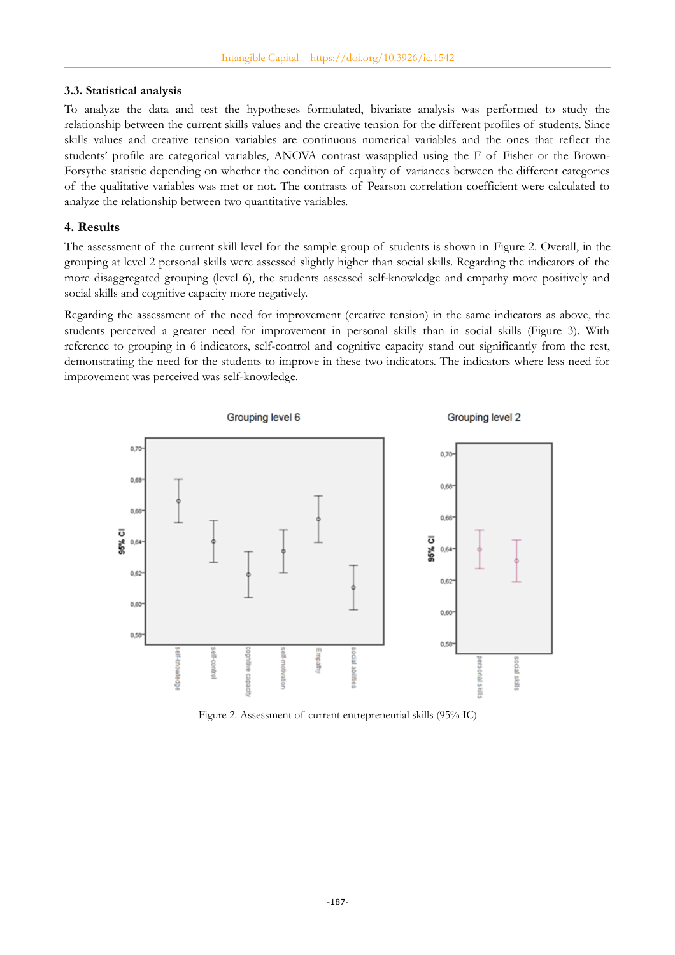## **3.3. Statistical analysis**

To analyze the data and test the hypotheses formulated, bivariate analysis was performed to study the relationship between the current skills values and the creative tension for the different profiles of students. Since skills values and creative tension variables are continuous numerical variables and the ones that reflect the students' profile are categorical variables, ANOVA contrast wasapplied using the F of Fisher or the Brown-Forsythe statistic depending on whether the condition of equality of variances between the different categories of the qualitative variables was met or not. The contrasts of Pearson correlation coefficient were calculated to analyze the relationship between two quantitative variables.

## **4. Results**

The assessment of the current skill level for the sample group of students is shown in Figure 2. Overall, in the grouping at level 2 personal skills were assessed slightly higher than social skills. Regarding the indicators of the more disaggregated grouping (level 6), the students assessed self-knowledge and empathy more positively and social skills and cognitive capacity more negatively.

Regarding the assessment of the need for improvement (creative tension) in the same indicators as above, the students perceived a greater need for improvement in personal skills than in social skills (Figure 3). With reference to grouping in 6 indicators, self-control and cognitive capacity stand out significantly from the rest, demonstrating the need for the students to improve in these two indicators. The indicators where less need for improvement was perceived was self-knowledge.



Figure 2. Assessment of current entrepreneurial skills (95% IC)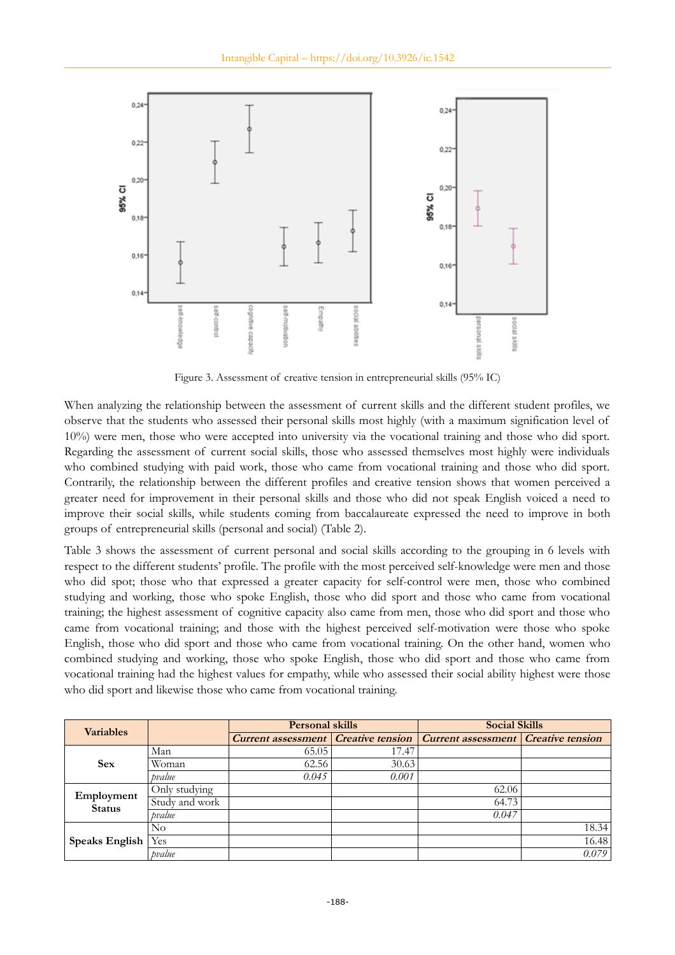

Figure 3. Assessment of creative tension in entrepreneurial skills (95% IC)

When analyzing the relationship between the assessment of current skills and the different student profiles, we observe that the students who assessed their personal skills most highly (with a maximum signification level of 10%) were men, those who were accepted into university via the vocational training and those who did sport. Regarding the assessment of current social skills, those who assessed themselves most highly were individuals who combined studying with paid work, those who came from vocational training and those who did sport. Contrarily, the relationship between the different profiles and creative tension shows that women perceived a greater need for improvement in their personal skills and those who did not speak English voiced a need to improve their social skills, while students coming from baccalaureate expressed the need to improve in both groups of entrepreneurial skills (personal and social) (Table 2).

Table 3 shows the assessment of current personal and social skills according to the grouping in 6 levels with respect to the different students' profile. The profile with the most perceived self-knowledge were men and those who did spot; those who that expressed a greater capacity for self-control were men, those who combined studying and working, those who spoke English, those who did sport and those who came from vocational training; the highest assessment of cognitive capacity also came from men, those who did sport and those who came from vocational training; and those with the highest perceived self-motivation were those who spoke English, those who did sport and those who came from vocational training. On the other hand, women who combined studying and working, those who spoke English, those who did sport and those who came from vocational training had the highest values for empathy, while who assessed their social ability highest were those who did sport and likewise those who came from vocational training.

| <b>Variables</b>                          |                | <b>Personal skills</b> |       | <b>Social Skills</b>                                                           |       |  |
|-------------------------------------------|----------------|------------------------|-------|--------------------------------------------------------------------------------|-------|--|
|                                           |                |                        |       | <b>Current assessment Creative tension Current assessment Creative tension</b> |       |  |
| <b>Sex</b><br>Employment<br><b>Status</b> | Man            | 65.05                  | 17.47 |                                                                                |       |  |
|                                           | Woman          | 62.56                  | 30.63 |                                                                                |       |  |
|                                           | pvalue         | 0.045                  | 0.001 |                                                                                |       |  |
|                                           | Only studying  |                        |       | 62.06                                                                          |       |  |
|                                           | Study and work |                        |       | 64.73                                                                          |       |  |
|                                           | pvalue         |                        |       | 0.047                                                                          |       |  |
| <b>Speaks English</b>                     | No             |                        |       |                                                                                | 18.34 |  |
|                                           | Yes            |                        |       |                                                                                | 16.48 |  |
|                                           | pvalue         |                        |       |                                                                                | 0.079 |  |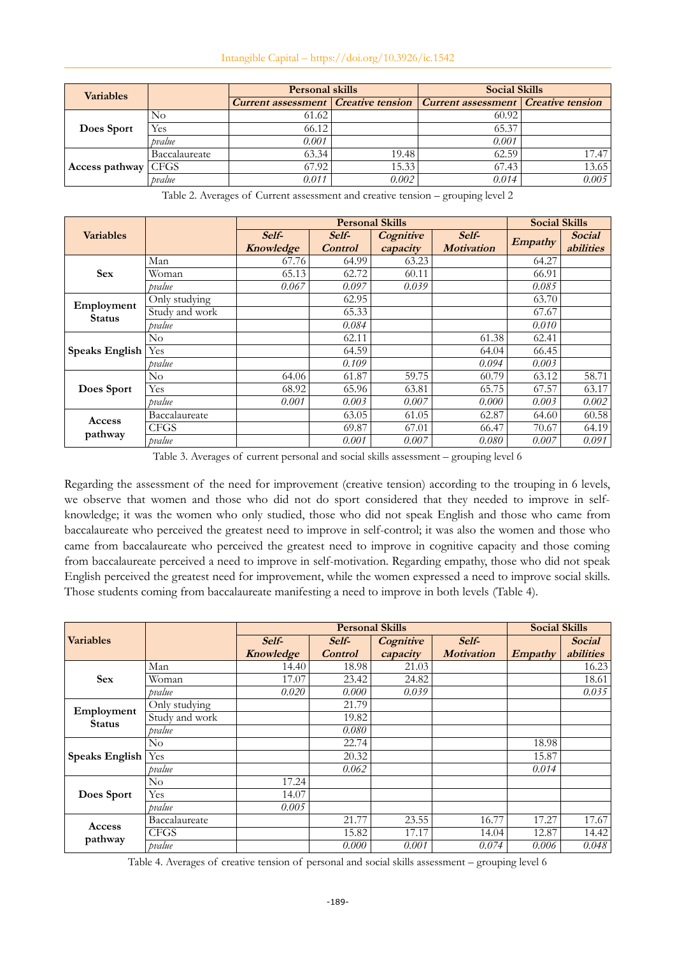|  |  | Intangible Capital - https://doi.org/10.3926/ic.1542 |  |  |  |
|--|--|------------------------------------------------------|--|--|--|
|--|--|------------------------------------------------------|--|--|--|

| <b>Variables</b>      |               | <b>Personal skills</b> |       | <b>Social Skills</b>                                                           |       |  |
|-----------------------|---------------|------------------------|-------|--------------------------------------------------------------------------------|-------|--|
|                       |               |                        |       | <b>Current assessment</b> Creative tension Current assessment Creative tension |       |  |
|                       | No            | 61.62                  |       | 60.92                                                                          |       |  |
| Does Sport            | <b>Yes</b>    | 66.12                  |       | 65.37                                                                          |       |  |
|                       | pvalue        | 0.001                  |       | 0.001                                                                          |       |  |
| Access pathway $CFGS$ | Baccalaureate | 63.34                  | 19.48 | 62.59                                                                          | 17.47 |  |
|                       |               | 67.92                  | 15.33 | 67.43                                                                          | 13.65 |  |
|                       | pvalue        | 0.011                  | 0.002 | 0.014                                                                          | 0.005 |  |

Table 2. Averages of Current assessment and creative tension – grouping level 2

|                       |                |                    | <b>Social Skills</b>    |                       |                            |                |                            |
|-----------------------|----------------|--------------------|-------------------------|-----------------------|----------------------------|----------------|----------------------------|
| <b>Variables</b>      |                | Self-<br>Knowledge | Self-<br><b>Control</b> | Cognitive<br>capacity | Self-<br><b>Motivation</b> | <b>Empathy</b> | <b>Social</b><br>abilities |
|                       | Man            | 67.76              | 64.99                   | 63.23                 |                            | 64.27          |                            |
| <b>Sex</b>            | Woman          | 65.13              | 62.72                   | 60.11                 |                            | 66.91          |                            |
|                       | pvalue         | 0.067              | 0.097                   | 0.039                 |                            | 0.085          |                            |
|                       | Only studying  |                    | 62.95                   |                       |                            | 63.70          |                            |
| Employment            | Study and work |                    | 65.33                   |                       |                            | 67.67          |                            |
| <b>Status</b>         | pvalue         |                    | 0.084                   |                       |                            | 0.010          |                            |
| <b>Speaks English</b> | No             |                    | 62.11                   |                       | 61.38                      | 62.41          |                            |
|                       | Yes            |                    | 64.59                   |                       | 64.04                      | 66.45          |                            |
|                       | pvalue         |                    | 0.109                   |                       | 0.094                      | 0.003          |                            |
| Does Sport            | No             | 64.06              | 61.87                   | 59.75                 | 60.79                      | 63.12          | 58.71                      |
|                       | Yes            | 68.92              | 65.96                   | 63.81                 | 65.75                      | 67.57          | 63.17                      |
|                       | pvalue         | 0.001              | 0.003                   | 0.007                 | 0.000                      | 0.003          | 0.002                      |
| Access<br>pathway     | Baccalaureate  |                    | 63.05                   | 61.05                 | 62.87                      | 64.60          | 60.58                      |
|                       | <b>CFGS</b>    |                    | 69.87                   | 67.01                 | 66.47                      | 70.67          | 64.19                      |
|                       | pvalue         |                    | 0.001                   | 0.007                 | 0.080                      | 0.007          | 0.091                      |

Table 3. Averages of current personal and social skills assessment – grouping level 6

Regarding the assessment of the need for improvement (creative tension) according to the trouping in 6 levels, we observe that women and those who did not do sport considered that they needed to improve in selfknowledge; it was the women who only studied, those who did not speak English and those who came from baccalaureate who perceived the greatest need to improve in self-control; it was also the women and those who came from baccalaureate who perceived the greatest need to improve in cognitive capacity and those coming from baccalaureate perceived a need to improve in self-motivation. Regarding empathy, those who did not speak English perceived the greatest need for improvement, while the women expressed a need to improve social skills. Those students coming from baccalaureate manifesting a need to improve in both levels (Table 4).

|                       |                | <b>Personal Skills</b> |                |           |                   | <b>Social Skills</b> |               |
|-----------------------|----------------|------------------------|----------------|-----------|-------------------|----------------------|---------------|
| <b>Variables</b>      |                | Self-                  | Self-          | Cognitive | Self-             |                      | <b>Social</b> |
|                       |                | Knowledge              | <b>Control</b> | capacity  | <b>Motivation</b> | Empathy              | abilities     |
|                       | Man            | 14.40                  | 18.98          | 21.03     |                   |                      | 16.23         |
| <b>Sex</b>            | Woman          | 17.07                  | 23.42          | 24.82     |                   |                      | 18.61         |
|                       | pvalue         | 0.020                  | 0.000          | 0.039     |                   |                      | 0.035         |
|                       | Only studying  |                        | 21.79          |           |                   |                      |               |
| Employment            | Study and work |                        | 19.82          |           |                   |                      |               |
| <b>Status</b>         | pvalue         |                        | 0.080          |           |                   |                      |               |
| <b>Speaks English</b> | $\rm No$       |                        | 22.74          |           |                   | 18.98                |               |
|                       | Yes            |                        | 20.32          |           |                   | 15.87                |               |
|                       | pvalue         |                        | 0.062          |           |                   | 0.014                |               |
| Does Sport            | $\rm No$       | 17.24                  |                |           |                   |                      |               |
|                       | Yes            | 14.07                  |                |           |                   |                      |               |
|                       | pvalue         | 0.005                  |                |           |                   |                      |               |
| Access<br>pathway     | Baccalaureate  |                        | 21.77          | 23.55     | 16.77             | 17.27                | 17.67         |
|                       | <b>CFGS</b>    |                        | 15.82          | 17.17     | 14.04             | 12.87                | 14.42         |
|                       | pvalue         |                        | 0.000          | 0.001     | 0.074             | 0.006                | 0.048         |

Table 4. Averages of creative tension of personal and social skills assessment – grouping level 6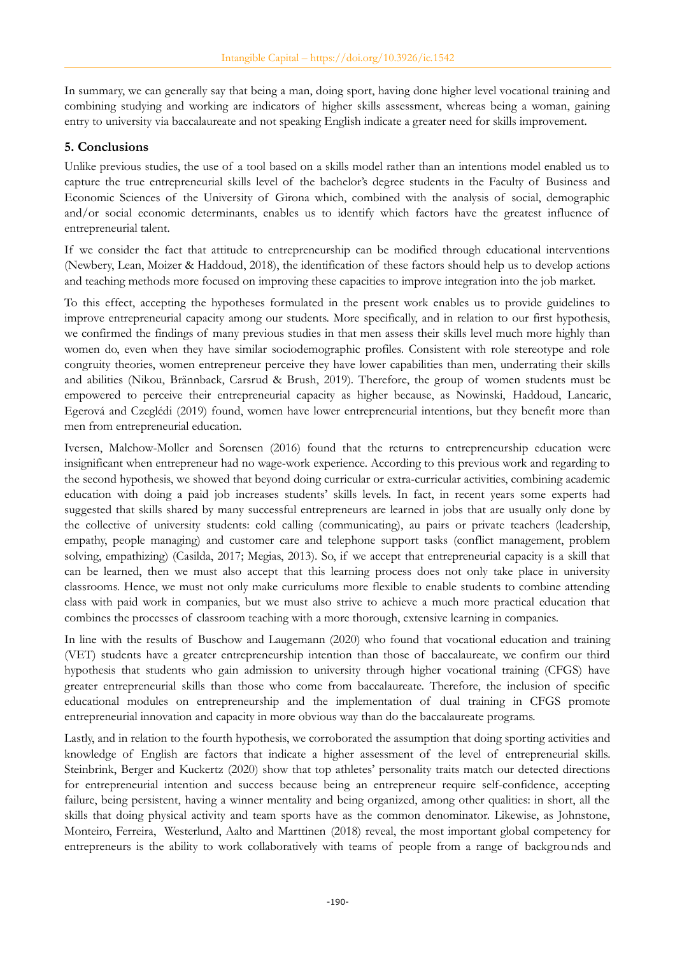In summary, we can generally say that being a man, doing sport, having done higher level vocational training and combining studying and working are indicators of higher skills assessment, whereas being a woman, gaining entry to university via baccalaureate and not speaking English indicate a greater need for skills improvement.

## **5. Conclusions**

Unlike previous studies, the use of a tool based on a skills model rather than an intentions model enabled us to capture the true entrepreneurial skills level of the bachelor's degree students in the Faculty of Business and Economic Sciences of the University of Girona which, combined with the analysis of social, demographic and/or social economic determinants, enables us to identify which factors have the greatest influence of entrepreneurial talent.

If we consider the fact that attitude to entrepreneurship can be modified through educational interventions (Newbery, Lean, Moizer & Haddoud, 2018), the identification of these factors should help us to develop actions and teaching methods more focused on improving these capacities to improve integration into the job market.

To this effect, accepting the hypotheses formulated in the present work enables us to provide guidelines to improve entrepreneurial capacity among our students. More specifically, and in relation to our first hypothesis, we confirmed the findings of many previous studies in that men assess their skills level much more highly than women do, even when they have similar sociodemographic profiles. Consistent with role stereotype and role congruity theories, women entrepreneur perceive they have lower capabilities than men, underrating their skills and abilities (Nikou, Brännback, Carsrud & Brush, 2019). Therefore, the group of women students must be empowered to perceive their entrepreneurial capacity as higher because, as Nowinski, Haddoud, Lancaric, Egerová and Czeglédi (2019) found, women have lower entrepreneurial intentions, but they benefit more than men from entrepreneurial education.

Iversen, Malchow-Moller and Sorensen (2016) found that the returns to entrepreneurship education were insignificant when entrepreneur had no wage-work experience. According to this previous work and regarding to the second hypothesis, we showed that beyond doing curricular or extra-curricular activities, combining academic education with doing a paid job increases students' skills levels. In fact, in recent years some experts had suggested that skills shared by many successful entrepreneurs are learned in jobs that are usually only done by the collective of university students: cold calling (communicating), au pairs or private teachers (leadership, empathy, people managing) and customer care and telephone support tasks (conflict management, problem solving, empathizing) (Casilda, 2017; Megias, 2013). So, if we accept that entrepreneurial capacity is a skill that can be learned, then we must also accept that this learning process does not only take place in university classrooms. Hence, we must not only make curriculums more flexible to enable students to combine attending class with paid work in companies, but we must also strive to achieve a much more practical education that combines the processes of classroom teaching with a more thorough, extensive learning in companies.

In line with the results of Buschow and Laugemann (2020) who found that vocational education and training (VET) students have a greater entrepreneurship intention than those of baccalaureate, we confirm our third hypothesis that students who gain admission to university through higher vocational training (CFGS) have greater entrepreneurial skills than those who come from baccalaureate. Therefore, the inclusion of specific educational modules on entrepreneurship and the implementation of dual training in CFGS promote entrepreneurial innovation and capacity in more obvious way than do the baccalaureate programs.

Lastly, and in relation to the fourth hypothesis, we corroborated the assumption that doing sporting activities and knowledge of English are factors that indicate a higher assessment of the level of entrepreneurial skills. Steinbrink, Berger and Kuckertz (2020) show that top athletes' personality traits match our detected directions for entrepreneurial intention and success because being an entrepreneur require self-confidence, accepting failure, being persistent, having a winner mentality and being organized, among other qualities: in short, all the skills that doing physical activity and team sports have as the common denominator. Likewise, as Johnstone, Monteiro, Ferreira, Westerlund, Aalto and Marttinen (2018) reveal, the most important global competency for entrepreneurs is the ability to work collaboratively with teams of people from a range of backgrou nds and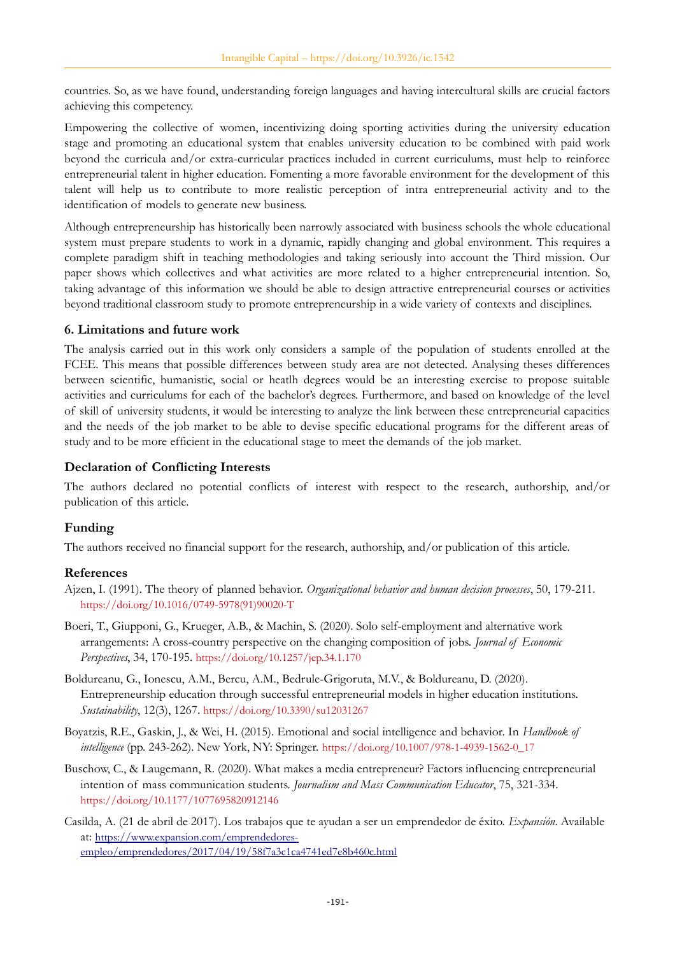countries. So, as we have found, understanding foreign languages and having intercultural skills are crucial factors achieving this competency.

Empowering the collective of women, incentivizing doing sporting activities during the university education stage and promoting an educational system that enables university education to be combined with paid work beyond the curricula and/or extra-curricular practices included in current curriculums, must help to reinforce entrepreneurial talent in higher education. Fomenting a more favorable environment for the development of this talent will help us to contribute to more realistic perception of intra entrepreneurial activity and to the identification of models to generate new business.

Although entrepreneurship has historically been narrowly associated with business schools the whole educational system must prepare students to work in a dynamic, rapidly changing and global environment. This requires a complete paradigm shift in teaching methodologies and taking seriously into account the Third mission. Our paper shows which collectives and what activities are more related to a higher entrepreneurial intention. So, taking advantage of this information we should be able to design attractive entrepreneurial courses or activities beyond traditional classroom study to promote entrepreneurship in a wide variety of contexts and disciplines.

#### **6. Limitations and future work**

The analysis carried out in this work only considers a sample of the population of students enrolled at the FCEE. This means that possible differences between study area are not detected. Analysing theses differences between scientific, humanistic, social or heatlh degrees would be an interesting exercise to propose suitable activities and curriculums for each of the bachelor's degrees. Furthermore, and based on knowledge of the level of skill of university students, it would be interesting to analyze the link between these entrepreneurial capacities and the needs of the job market to be able to devise specific educational programs for the different areas of study and to be more efficient in the educational stage to meet the demands of the job market.

## **Declaration of Conflicting Interests**

The authors declared no potential conflicts of interest with respect to the research, authorship, and/or publication of this article.

## **Funding**

The authors received no financial support for the research, authorship, and/or publication of this article.

#### **References**

- Ajzen, I. (1991). The theory of planned behavior. *Organizational behavior and human decision processes*, 50, 179-211. [https://doi.org/10.1016/0749-5978\(91\)90020-T](https://doi.org/10.1016/0749-5978(91)90020-T)
- Boeri, T., Giupponi, G., Krueger, A.B., & Machin, S. (2020). Solo self-employment and alternative work arrangements: A cross-country perspective on the changing composition of jobs. *Journal of Economic Perspectives*, 34, 170-195. <https://doi.org/10.1257/jep.34.1.170>
- Boldureanu, G., Ionescu, A.M., Bercu, A.M., Bedrule-Grigoruta, M.V., & Boldureanu, D. (2020). Entrepreneurship education through successful entrepreneurial models in higher education institutions. *Sustainability*, 12(3), 1267. <https://doi.org/10.3390/su12031267>
- Boyatzis, R.E., Gaskin, J., & Wei, H. (2015). Emotional and social intelligence and behavior. In *Handbook of intelligence* (pp. 243-262). New York, NY: Springer. [https://doi.org/10.1007/978-1-4939-1562-0\\_17](https://doi.org/10.1007/978-1-4939-1562-0_17)
- Buschow, C., & Laugemann, R. (2020). What makes a media entrepreneur? Factors influencing entrepreneurial intention of mass communication students. *Journalism and Mass Communication Educator*, 75, 321-334. <https://doi.org/10.1177/1077695820912146>
- Casilda, A. (21 de abril de 2017). Los trabajos que te ayudan a ser un emprendedor de éxito. *Expansión*. Available at: [https://www.expansion.com/emprendedores](https://www.expansion.com/emprendedores-empleo/emprendedores/2017/04/19/58f7a3c1ca4741ed7e8b460c.html)[empleo/emprendedores/2017/04/19/58f7a3c1ca4741ed7e8b460c.html](https://www.expansion.com/emprendedores-empleo/emprendedores/2017/04/19/58f7a3c1ca4741ed7e8b460c.html)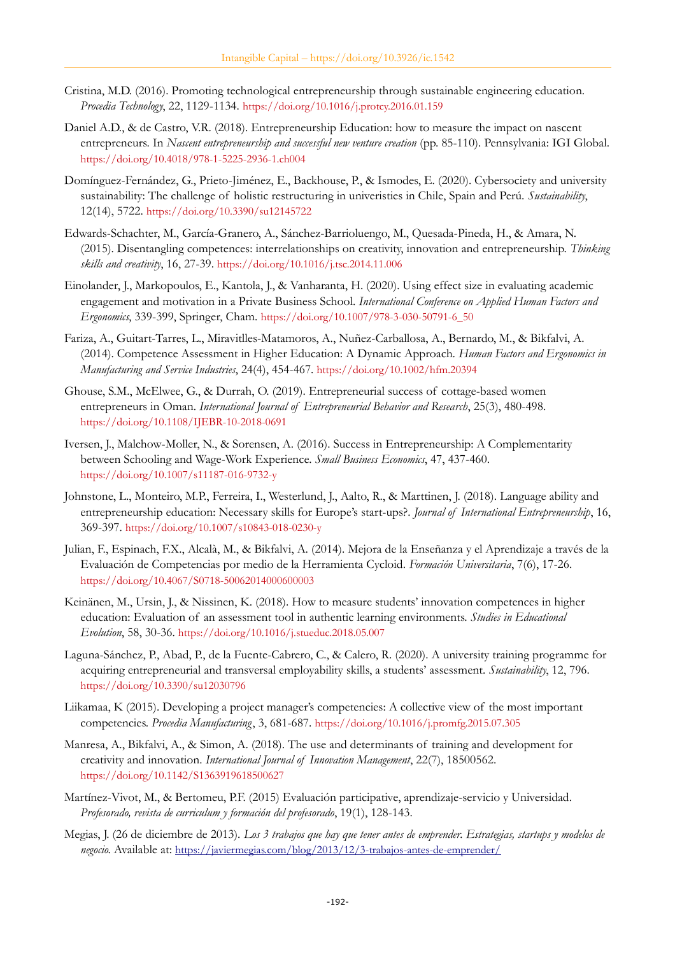- Cristina, M.D. (2016). Promoting technological entrepreneurship through sustainable engineering education. *Procedia Technology*, 22, 1129-1134. <https://doi.org/10.1016/j.protcy.2016.01.159>
- Daniel A.D., & de Castro, V.R. (2018). Entrepreneurship Education: how to measure the impact on nascent entrepreneurs. In *Nascent entrepreneurship and successful new venture creation* (pp. 85-110). Pennsylvania: IGI Global. <https://doi.org/10.4018/978-1-5225-2936-1.ch004>
- Domínguez-Fernández, G., Prieto-Jiménez, E., Backhouse, P., & Ismodes, E. (2020). Cybersociety and university sustainability: The challenge of holistic restructuring in univeristies in Chile, Spain and Perú. *Sustainability*, 12(14), 5722. <https://doi.org/10.3390/su12145722>
- Edwards-Schachter, M., García-Granero, A., Sánchez-Barrioluengo, M., Quesada-Pineda, H., & Amara, N. (2015). Disentangling competences: interrelationships on creativity, innovation and entrepreneurship. *Thinking skills and creativity*, 16, 27-39. <https://doi.org/10.1016/j.tsc.2014.11.006>
- Einolander, J., Markopoulos, E., Kantola, J., & Vanharanta, H. (2020). Using effect size in evaluating academic engagement and motivation in a Private Business School. *International Conference on Applied Human Factors and Ergonomics*, 339-399, Springer, Cham. [https://doi.org/10.1007/978-3-030-50791-6\\_50](https://doi.org/10.1007/978-3-030-50791-6_50)
- Fariza, A., Guitart-Tarres, L., Miravitlles-Matamoros, A., Nuñez-Carballosa, A., Bernardo, M., & Bikfalvi, A. (2014). Competence Assessment in Higher Education: A Dynamic Approach. *Human Factors and Ergonomics in Manufacturing and Service Industries*, 24(4), 454-467. <https://doi.org/10.1002/hfm.20394>
- Ghouse, S.M., McElwee, G., & Durrah, O. (2019). Entrepreneurial success of cottage-based women entrepreneurs in Oman. *International Journal of Entrepreneurial Behavior and Research*, 25(3), 480-498. <https://doi.org/10.1108/IJEBR-10-2018-0691>
- Iversen, J., Malchow-Moller, N., & Sorensen, A. (2016). Success in Entrepreneurship: A Complementarity between Schooling and Wage-Work Experience. *Small Business Economics*, 47, 437-460. <https://doi.org/10.1007/s11187-016-9732-y>
- Johnstone, L., Monteiro, M.P., Ferreira, I., Westerlund, J., Aalto, R., & Marttinen, J. (2018). Language ability and entrepreneurship education: Necessary skills for Europe's start-ups?. *Journal of International Entrepreneurship*, 16, 369-397. <https://doi.org/10.1007/s10843-018-0230-y>
- Julian, F., Espinach, F.X., Alcalà, M., & Bikfalvi, A. (2014). Mejora de la Enseñanza y el Aprendizaje a través de la Evaluación de Competencias por medio de la Herramienta Cycloid. *Formación Universitaria*, 7(6), 17-26. <https://doi.org/10.4067/S0718-50062014000600003>
- Keinänen, M., Ursin, J., & Nissinen, K. (2018). How to measure students' innovation competences in higher education: Evaluation of an assessment tool in authentic learning environments. *Studies in Educational Evolution*, 58, 30-36. <https://doi.org/10.1016/j.stueduc.2018.05.007>
- Laguna-Sánchez, P., Abad, P., de la Fuente-Cabrero, C., & Calero, R. (2020). A university training programme for acquiring entrepreneurial and transversal employability skills, a students' assessment. *Sustainability*, 12, 796. <https://doi.org/10.3390/su12030796>
- Liikamaa, K (2015). Developing a project manager's competencies: A collective view of the most important competencies. *Procedia Manufacturing*, 3, 681-687. <https://doi.org/10.1016/j.promfg.2015.07.305>
- Manresa, A., Bikfalvi, A., & Simon, A. (2018). The use and determinants of training and development for creativity and innovation. *International Journal of Innovation Management*, 22(7), 18500562. <https://doi.org/10.1142/S1363919618500627>
- Martínez-Vivot, M., & Bertomeu, P.F. (2015) Evaluación participative, aprendizaje-servicio y Universidad. *Profesorado, revista de curriculum y formación del profesorado*, 19(1), 128-143.
- Megias, J. (26 de diciembre de 2013). *Los 3 trabajos que hay que tener antes de emprender. Estrategias, startups y modelos de negocio*. Available at: <https://javiermegias.com/blog/2013/12/3-trabajos-antes-de-emprender/>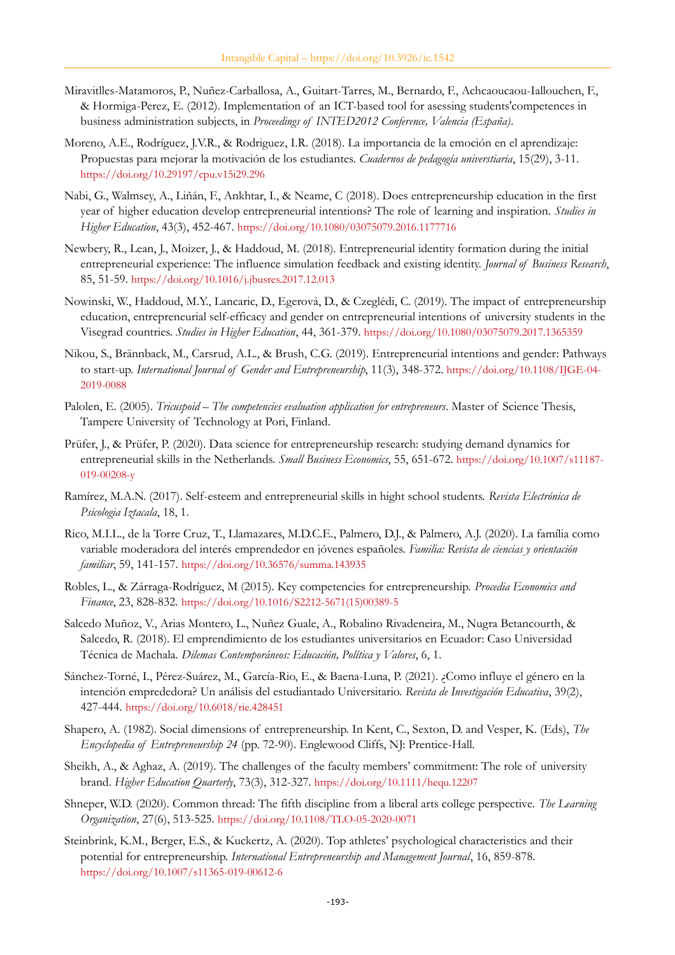- Miravitlles-Matamoros, P., Nuñez-Carballosa, A., Guitart-Tarres, M., Bernardo, F., Achcaoucaou-Iallouchen, F., & Hormiga-Perez, E. (2012). Implementation of an ICT-based tool for asessing students'competences in business administration subjects, in *Proceedings of INTED2012 Conference, Valencia (España)*.
- Moreno, A.E., Rodríguez, J.V.R., & Rodriguez, I.R. (2018). La importancia de la emoción en el aprendizaje: Propuestas para mejorar la motivación de los estudiantes. *Cuadernos de pedagogía universtiaria*, 15(29), 3-11. <https://doi.org/10.29197/cpu.v15i29.296>
- Nabi, G., Walmsey, A., Liñán, F., Ankhtar, I., & Neame, C (2018). Does entrepreneurship education in the first year of higher education develop entrepreneurial intentions? The role of learning and inspiration. *Studies in Higher Education*, 43(3), 452-467. <https://doi.org/10.1080/03075079.2016.1177716>
- Newbery, R., Lean, J., Moizer, J., & Haddoud, M. (2018). Entrepreneurial identity formation during the initial entrepreneurial experience: The influence simulation feedback and existing identity. *Journal of Business Research*, 85, 51-59. <https://doi.org/10.1016/j.jbusres.2017.12.013>
- Nowinski, W., Haddoud, M.Y., Lancaric, D., Egerová, D., & Czeglédi, C. (2019). The impact of entrepreneurship education, entrepreneurial self-efficacy and gender on entrepreneurial intentions of university students in the Visegrad countries. *Studies in Higher Education*, 44, 361-379. <https://doi.org/10.1080/03075079.2017.1365359>
- Nikou, S., Brännback, M., Carsrud, A.L., & Brush, C.G. (2019). Entrepreneurial intentions and gender: Pathways to start-up. *International Journal of Gender and Entrepreneurship*, 11(3), 348-372. [https://doi.org/10.1108/IJGE-04-](https://doi.org/10.1108/IJGE-04-2019-0088) [2019-0088](https://doi.org/10.1108/IJGE-04-2019-0088)
- Palolen, E. (2005). *Tricuspoid The competencies evaluation application for entrepreneurs*. Master of Science Thesis, Tampere University of Technology at Pori, Finland.
- Prüfer, J., & Prüfer, P. (2020). Data science for entrepreneurship research: studying demand dynamics for entrepreneurial skills in the Netherlands. *Small Business Economics*, 55, 651-672. [https://doi.org/10.1007/s11187-](https://doi.org/10.1007/s11187-019-00208-y) [019-00208-y](https://doi.org/10.1007/s11187-019-00208-y)
- Ramírez, M.A.N. (2017). Self-esteem and entrepreneurial skills in hight school students. *Revista Electrónica de Psicologia Iztacala*, 18, 1.
- Rico, M.I.L., de la Torre Cruz, T., Llamazares, M.D.C.E., Palmero, D.J., & Palmero, A.J. (2020). La família como variable moderadora del interés emprendedor en jóvenes españoles. *Familia: Revista de ciencias y orientación familiar*, 59, 141-157. <https://doi.org/10.36576/summa.143935>
- Robles, L., & Zárraga-Rodríguez, M (2015). Key competencies for entrepreneurship. *Procedia Economics and Finance*, 23, 828-832. [https://doi.org/10.1016/S2212-5671\(15\)00389-5](https://doi.org/10.1016/S2212-5671(15)00389-5)
- Salcedo Muñoz, V., Arias Montero, L., Nuñez Guale, A., Robalino Rivadeneira, M., Nugra Betancourth, & Salcedo, R. (2018). El emprendimiento de los estudiantes universitarios en Ecuador: Caso Universidad Técnica de Machala. *Dilemas Contemporáneos: Educación, Política y Valores*, 6, 1.
- Sánchez-Torné, I., Pérez-Suárez, M., García-Rio, E., & Baena-Luna, P. (2021). ¿Como influye el género en la intención emprededora? Un análisis del estudiantado Universitario. *Revista de Investigación Educativa*, 39(2), 427-444. <https://doi.org/10.6018/rie.428451>
- Shapero, A. (1982). Social dimensions of entrepreneurship. In Kent, C., Sexton, D. and Vesper, K. (Eds), *The Encyclopedia of Entrepreneurship 24* (pp. 72-90). Englewood Cliffs, NJ: Prentice-Hall.
- Sheikh, A., & Aghaz, A. (2019). The challenges of the faculty members' commitment: The role of university brand. *Higher Education Quarterly*, 73(3), 312-327. <https://doi.org/10.1111/hequ.12207>
- Shneper, W.D. (2020). Common thread: The fifth discipline from a liberal arts college perspective. *The Learning Organization*, 27(6), 513-525. <https://doi.org/10.1108/TLO-05-2020-0071>
- Steinbrink, K.M., Berger, E.S., & Kuckertz, A. (2020). Top athletes' psychological characteristics and their potential for entrepreneurship. *International Entrepreneurship and Management Journal*, 16, 859-878. <https://doi.org/10.1007/s11365-019-00612-6>